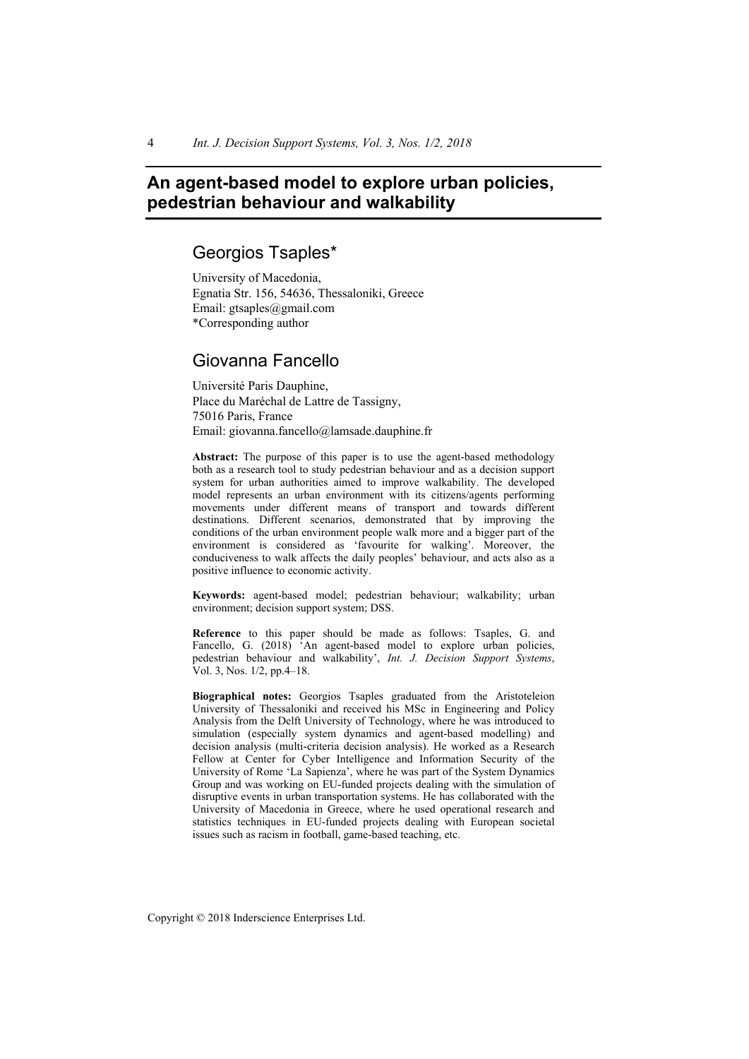# **An agent-based model to explore urban policies, pedestrian behaviour and walkability**

# Georgios Tsaples\*

University of Macedonia, Egnatia Str. 156, 54636, Thessaloniki, Greece Email: gtsaples@gmail.com \*Corresponding author

# Giovanna Fancello

Université Paris Dauphine, Place du Maréchal de Lattre de Tassigny, 75016 Paris, France Email: giovanna.fancello@lamsade.dauphine.fr

**Abstract:** The purpose of this paper is to use the agent-based methodology both as a research tool to study pedestrian behaviour and as a decision support system for urban authorities aimed to improve walkability. The developed model represents an urban environment with its citizens/agents performing movements under different means of transport and towards different destinations. Different scenarios, demonstrated that by improving the conditions of the urban environment people walk more and a bigger part of the environment is considered as 'favourite for walking'. Moreover, the conduciveness to walk affects the daily peoples' behaviour, and acts also as a positive influence to economic activity.

**Keywords:** agent-based model; pedestrian behaviour; walkability; urban environment; decision support system; DSS.

**Reference** to this paper should be made as follows: Tsaples, G. and Fancello, G. (2018) 'An agent-based model to explore urban policies, pedestrian behaviour and walkability', *Int. J. Decision Support Systems*, Vol. 3, Nos. 1/2, pp.4–18.

**Biographical notes:** Georgios Tsaples graduated from the Aristoteleion University of Thessaloniki and received his MSc in Engineering and Policy Analysis from the Delft University of Technology, where he was introduced to simulation (especially system dynamics and agent-based modelling) and decision analysis (multi-criteria decision analysis). He worked as a Research Fellow at Center for Cyber Intelligence and Information Security of the University of Rome 'La Sapienza', where he was part of the System Dynamics Group and was working on EU-funded projects dealing with the simulation of disruptive events in urban transportation systems. He has collaborated with the University of Macedonia in Greece, where he used operational research and statistics techniques in EU-funded projects dealing with European societal issues such as racism in football, game-based teaching, etc.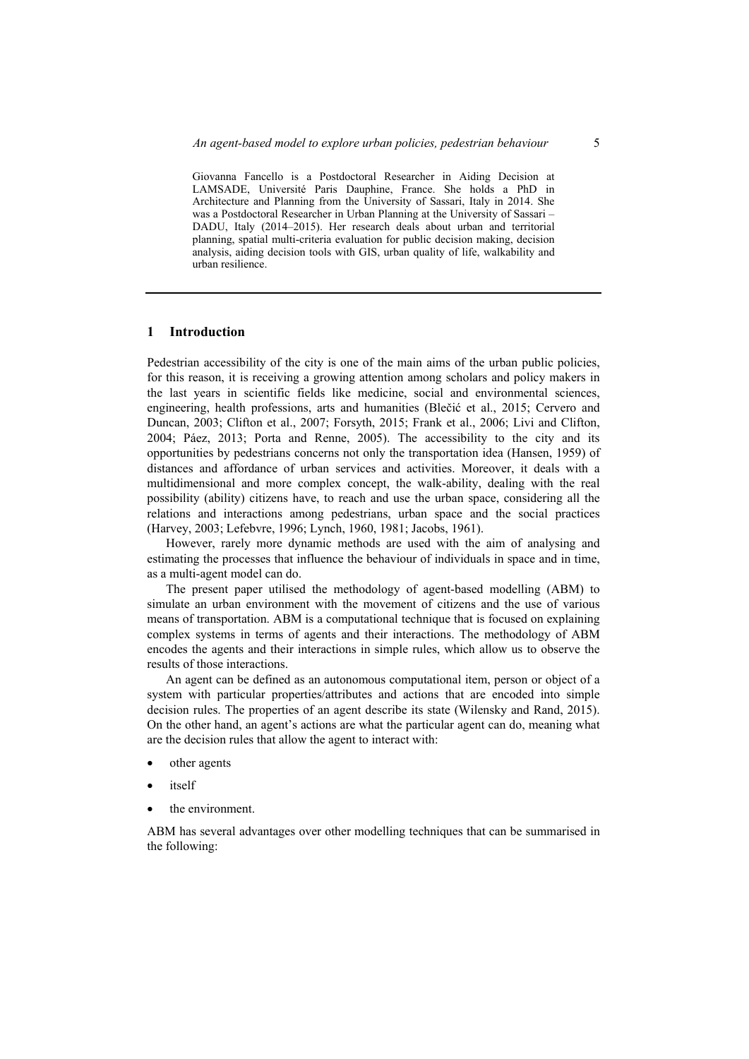Giovanna Fancello is a Postdoctoral Researcher in Aiding Decision at LAMSADE, Université Paris Dauphine, France. She holds a PhD in Architecture and Planning from the University of Sassari, Italy in 2014. She was a Postdoctoral Researcher in Urban Planning at the University of Sassari – DADU, Italy (2014–2015). Her research deals about urban and territorial planning, spatial multi-criteria evaluation for public decision making, decision analysis, aiding decision tools with GIS, urban quality of life, walkability and urban resilience.

#### **1 Introduction**

Pedestrian accessibility of the city is one of the main aims of the urban public policies, for this reason, it is receiving a growing attention among scholars and policy makers in the last years in scientific fields like medicine, social and environmental sciences, engineering, health professions, arts and humanities (Blečić et al., 2015; Cervero and Duncan, 2003; Clifton et al., 2007; Forsyth, 2015; Frank et al., 2006; Livi and Clifton, 2004; Páez, 2013; Porta and Renne, 2005). The accessibility to the city and its opportunities by pedestrians concerns not only the transportation idea (Hansen, 1959) of distances and affordance of urban services and activities. Moreover, it deals with a multidimensional and more complex concept, the walk-ability, dealing with the real possibility (ability) citizens have, to reach and use the urban space, considering all the relations and interactions among pedestrians, urban space and the social practices (Harvey, 2003; Lefebvre, 1996; Lynch, 1960, 1981; Jacobs, 1961).

However, rarely more dynamic methods are used with the aim of analysing and estimating the processes that influence the behaviour of individuals in space and in time, as a multi-agent model can do.

The present paper utilised the methodology of agent-based modelling (ABM) to simulate an urban environment with the movement of citizens and the use of various means of transportation. ABM is a computational technique that is focused on explaining complex systems in terms of agents and their interactions. The methodology of ABM encodes the agents and their interactions in simple rules, which allow us to observe the results of those interactions.

An agent can be defined as an autonomous computational item, person or object of a system with particular properties/attributes and actions that are encoded into simple decision rules. The properties of an agent describe its state (Wilensky and Rand, 2015). On the other hand, an agent's actions are what the particular agent can do, meaning what are the decision rules that allow the agent to interact with:

- other agents
- itself
- the environment.

ABM has several advantages over other modelling techniques that can be summarised in the following: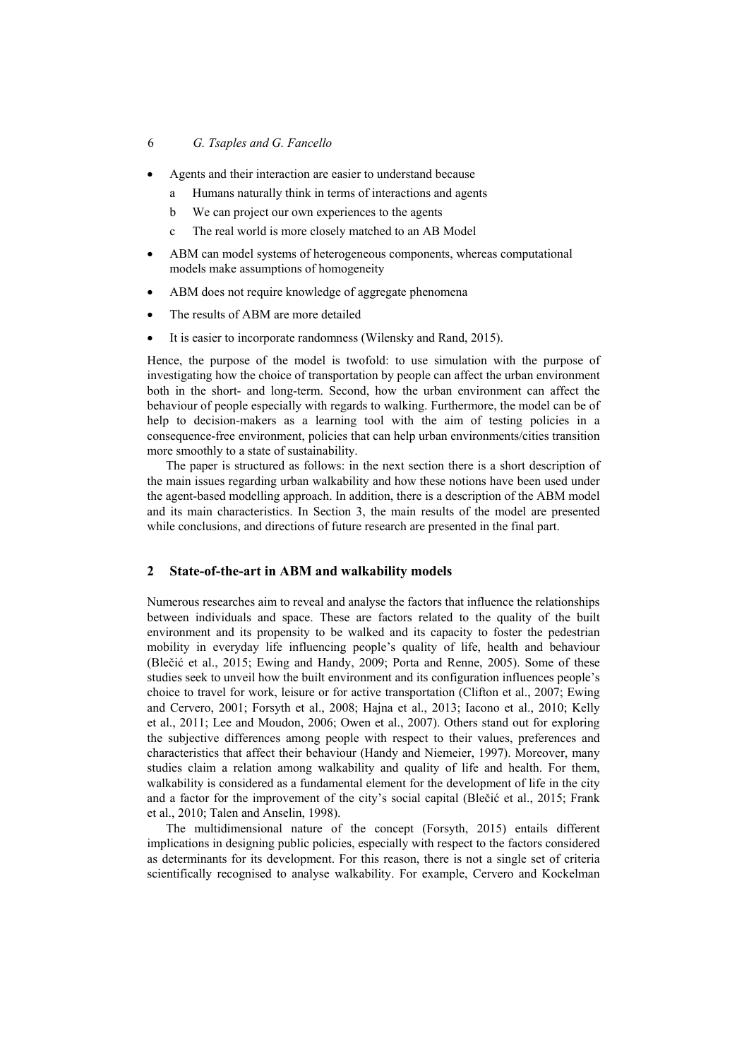- Agents and their interaction are easier to understand because
	- a Humans naturally think in terms of interactions and agents
	- b We can project our own experiences to the agents
	- c The real world is more closely matched to an AB Model
- ABM can model systems of heterogeneous components, whereas computational models make assumptions of homogeneity
- ABM does not require knowledge of aggregate phenomena
- The results of ABM are more detailed
- It is easier to incorporate randomness (Wilensky and Rand, 2015).

Hence, the purpose of the model is twofold: to use simulation with the purpose of investigating how the choice of transportation by people can affect the urban environment both in the short- and long-term. Second, how the urban environment can affect the behaviour of people especially with regards to walking. Furthermore, the model can be of help to decision-makers as a learning tool with the aim of testing policies in a consequence-free environment, policies that can help urban environments/cities transition more smoothly to a state of sustainability.

The paper is structured as follows: in the next section there is a short description of the main issues regarding urban walkability and how these notions have been used under the agent-based modelling approach. In addition, there is a description of the ABM model and its main characteristics. In Section 3, the main results of the model are presented while conclusions, and directions of future research are presented in the final part.

#### **2 State-of-the-art in ABM and walkability models**

Numerous researches aim to reveal and analyse the factors that influence the relationships between individuals and space. These are factors related to the quality of the built environment and its propensity to be walked and its capacity to foster the pedestrian mobility in everyday life influencing people's quality of life, health and behaviour (Blečić et al., 2015; Ewing and Handy, 2009; Porta and Renne, 2005). Some of these studies seek to unveil how the built environment and its configuration influences people's choice to travel for work, leisure or for active transportation (Clifton et al., 2007; Ewing and Cervero, 2001; Forsyth et al., 2008; Hajna et al., 2013; Iacono et al., 2010; Kelly et al., 2011; Lee and Moudon, 2006; Owen et al., 2007). Others stand out for exploring the subjective differences among people with respect to their values, preferences and characteristics that affect their behaviour (Handy and Niemeier, 1997). Moreover, many studies claim a relation among walkability and quality of life and health. For them, walkability is considered as a fundamental element for the development of life in the city and a factor for the improvement of the city's social capital (Blečić et al., 2015; Frank et al., 2010; Talen and Anselin, 1998).

The multidimensional nature of the concept (Forsyth, 2015) entails different implications in designing public policies, especially with respect to the factors considered as determinants for its development. For this reason, there is not a single set of criteria scientifically recognised to analyse walkability. For example, Cervero and Kockelman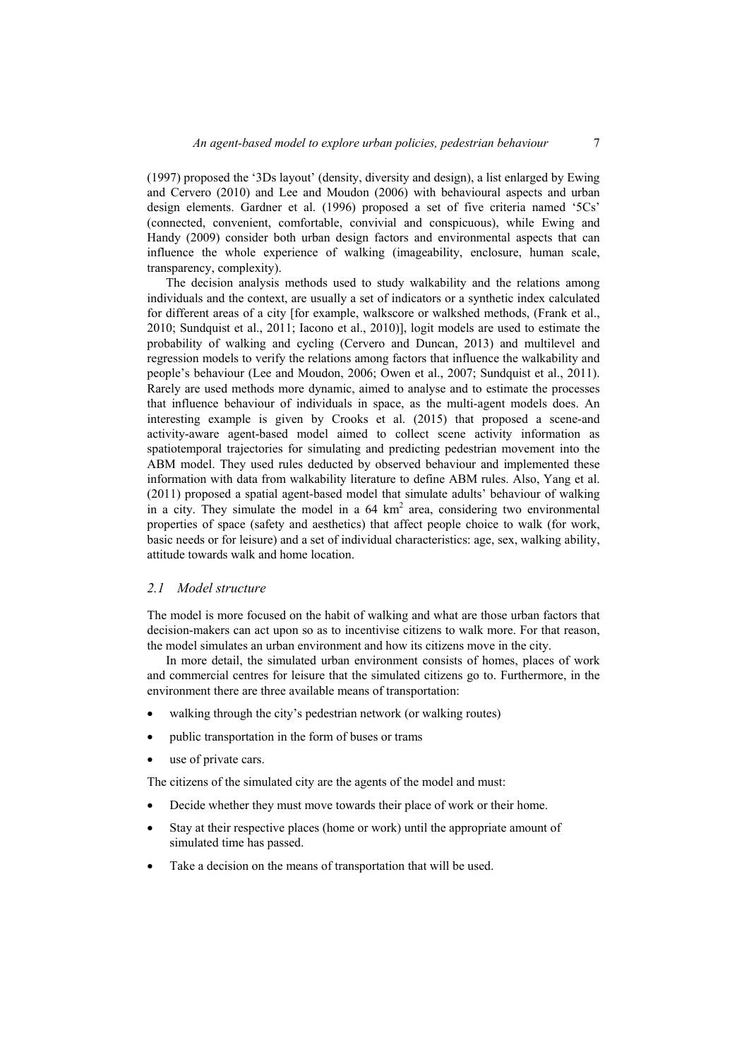(1997) proposed the '3Ds layout' (density, diversity and design), a list enlarged by Ewing and Cervero (2010) and Lee and Moudon (2006) with behavioural aspects and urban design elements. Gardner et al. (1996) proposed a set of five criteria named '5Cs' (connected, convenient, comfortable, convivial and conspicuous), while Ewing and Handy (2009) consider both urban design factors and environmental aspects that can influence the whole experience of walking (imageability, enclosure, human scale, transparency, complexity).

The decision analysis methods used to study walkability and the relations among individuals and the context, are usually a set of indicators or a synthetic index calculated for different areas of a city [for example, walkscore or walkshed methods, (Frank et al., 2010; Sundquist et al., 2011; Iacono et al., 2010)], logit models are used to estimate the probability of walking and cycling (Cervero and Duncan, 2013) and multilevel and regression models to verify the relations among factors that influence the walkability and people's behaviour (Lee and Moudon, 2006; Owen et al., 2007; Sundquist et al., 2011). Rarely are used methods more dynamic, aimed to analyse and to estimate the processes that influence behaviour of individuals in space, as the multi-agent models does. An interesting example is given by Crooks et al. (2015) that proposed a scene-and activity-aware agent-based model aimed to collect scene activity information as spatiotemporal trajectories for simulating and predicting pedestrian movement into the ABM model. They used rules deducted by observed behaviour and implemented these information with data from walkability literature to define ABM rules. Also, Yang et al. (2011) proposed a spatial agent-based model that simulate adults' behaviour of walking in a city. They simulate the model in a  $64 \text{ km}^2$  area, considering two environmental properties of space (safety and aesthetics) that affect people choice to walk (for work, basic needs or for leisure) and a set of individual characteristics: age, sex, walking ability, attitude towards walk and home location.

#### *2.1 Model structure*

The model is more focused on the habit of walking and what are those urban factors that decision-makers can act upon so as to incentivise citizens to walk more. For that reason, the model simulates an urban environment and how its citizens move in the city.

In more detail, the simulated urban environment consists of homes, places of work and commercial centres for leisure that the simulated citizens go to. Furthermore, in the environment there are three available means of transportation:

- walking through the city's pedestrian network (or walking routes)
- public transportation in the form of buses or trams
- use of private cars.

The citizens of the simulated city are the agents of the model and must:

- Decide whether they must move towards their place of work or their home.
- Stay at their respective places (home or work) until the appropriate amount of simulated time has passed.
- Take a decision on the means of transportation that will be used.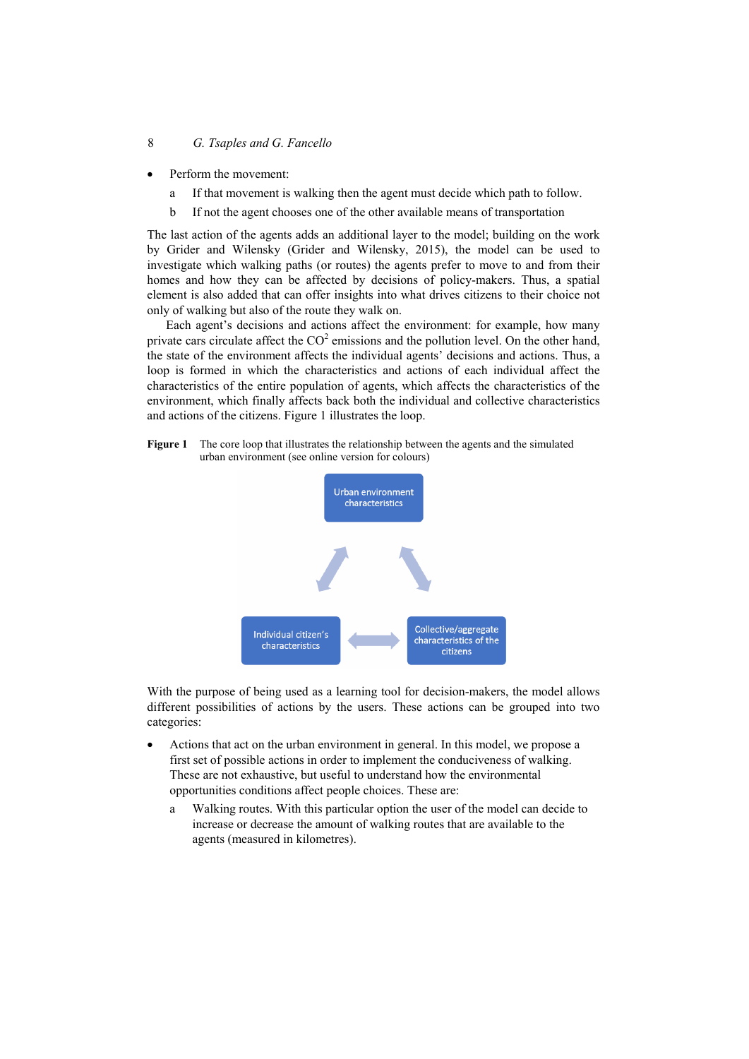- Perform the movement:
	- a If that movement is walking then the agent must decide which path to follow.
	- b If not the agent chooses one of the other available means of transportation

The last action of the agents adds an additional layer to the model; building on the work by Grider and Wilensky (Grider and Wilensky, 2015), the model can be used to investigate which walking paths (or routes) the agents prefer to move to and from their homes and how they can be affected by decisions of policy-makers. Thus, a spatial element is also added that can offer insights into what drives citizens to their choice not only of walking but also of the route they walk on.

Each agent's decisions and actions affect the environment: for example, how many private cars circulate affect the  $CO<sup>2</sup>$  emissions and the pollution level. On the other hand, the state of the environment affects the individual agents' decisions and actions. Thus, a loop is formed in which the characteristics and actions of each individual affect the characteristics of the entire population of agents, which affects the characteristics of the environment, which finally affects back both the individual and collective characteristics and actions of the citizens. Figure 1 illustrates the loop.





With the purpose of being used as a learning tool for decision-makers, the model allows different possibilities of actions by the users. These actions can be grouped into two categories:

- Actions that act on the urban environment in general. In this model, we propose a first set of possible actions in order to implement the conduciveness of walking. These are not exhaustive, but useful to understand how the environmental opportunities conditions affect people choices. These are:
	- a Walking routes. With this particular option the user of the model can decide to increase or decrease the amount of walking routes that are available to the agents (measured in kilometres).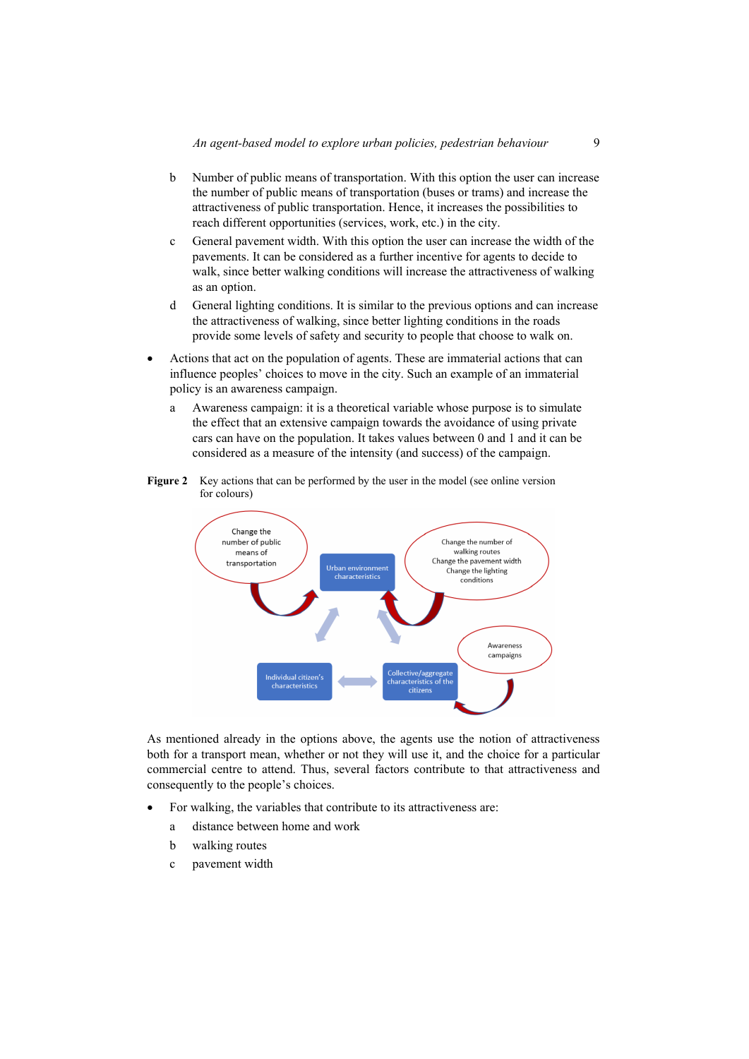- b Number of public means of transportation. With this option the user can increase the number of public means of transportation (buses or trams) and increase the attractiveness of public transportation. Hence, it increases the possibilities to reach different opportunities (services, work, etc.) in the city.
- c General pavement width. With this option the user can increase the width of the pavements. It can be considered as a further incentive for agents to decide to walk, since better walking conditions will increase the attractiveness of walking as an option.
- d General lighting conditions. It is similar to the previous options and can increase the attractiveness of walking, since better lighting conditions in the roads provide some levels of safety and security to people that choose to walk on.
- Actions that act on the population of agents. These are immaterial actions that can influence peoples' choices to move in the city. Such an example of an immaterial policy is an awareness campaign.
	- a Awareness campaign: it is a theoretical variable whose purpose is to simulate the effect that an extensive campaign towards the avoidance of using private cars can have on the population. It takes values between 0 and 1 and it can be considered as a measure of the intensity (and success) of the campaign.





As mentioned already in the options above, the agents use the notion of attractiveness both for a transport mean, whether or not they will use it, and the choice for a particular commercial centre to attend. Thus, several factors contribute to that attractiveness and consequently to the people's choices.

- For walking, the variables that contribute to its attractiveness are:
	- a distance between home and work
	- b walking routes
	- c pavement width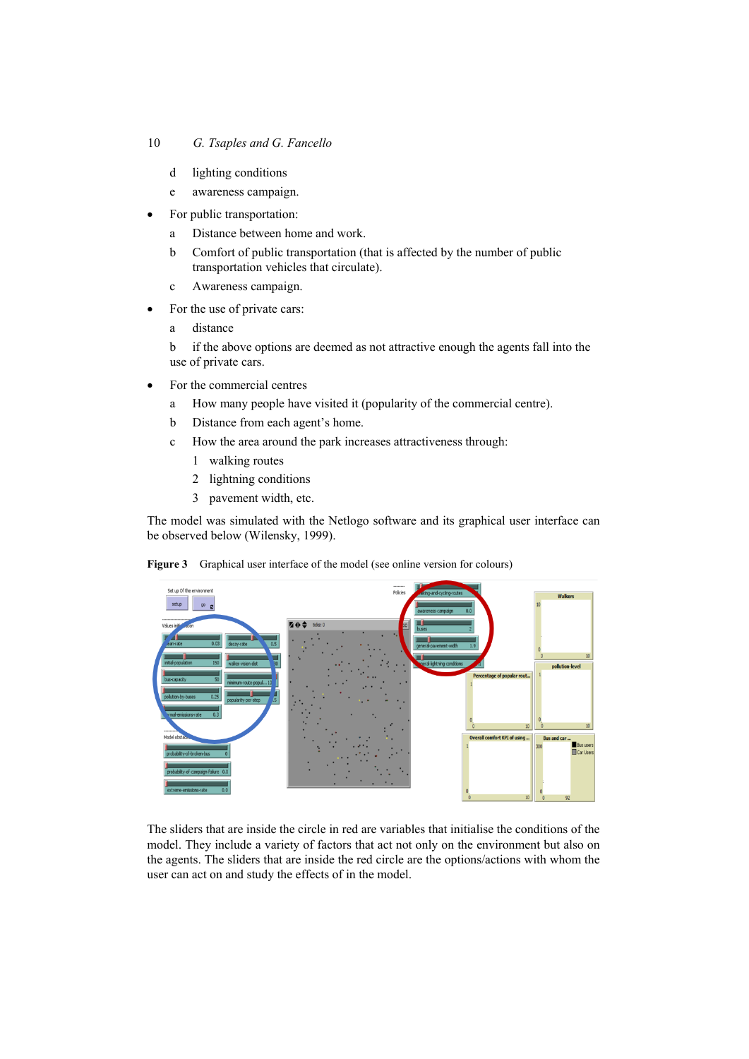- 10 *G. Tsaples and G. Fancello*
	- d lighting conditions
	- e awareness campaign.
- For public transportation:
	- a Distance between home and work.
	- b Comfort of public transportation (that is affected by the number of public transportation vehicles that circulate).
	- c Awareness campaign.
- For the use of private cars:
	- a distance

b if the above options are deemed as not attractive enough the agents fall into the use of private cars.

- For the commercial centres
	- a How many people have visited it (popularity of the commercial centre).
	- b Distance from each agent's home.
	- c How the area around the park increases attractiveness through:
		- 1 walking routes
		- 2 lightning conditions
		- 3 pavement width, etc.

The model was simulated with the Netlogo software and its graphical user interface can be observed below (Wilensky, 1999).





The sliders that are inside the circle in red are variables that initialise the conditions of the model. They include a variety of factors that act not only on the environment but also on the agents. The sliders that are inside the red circle are the options/actions with whom the user can act on and study the effects of in the model.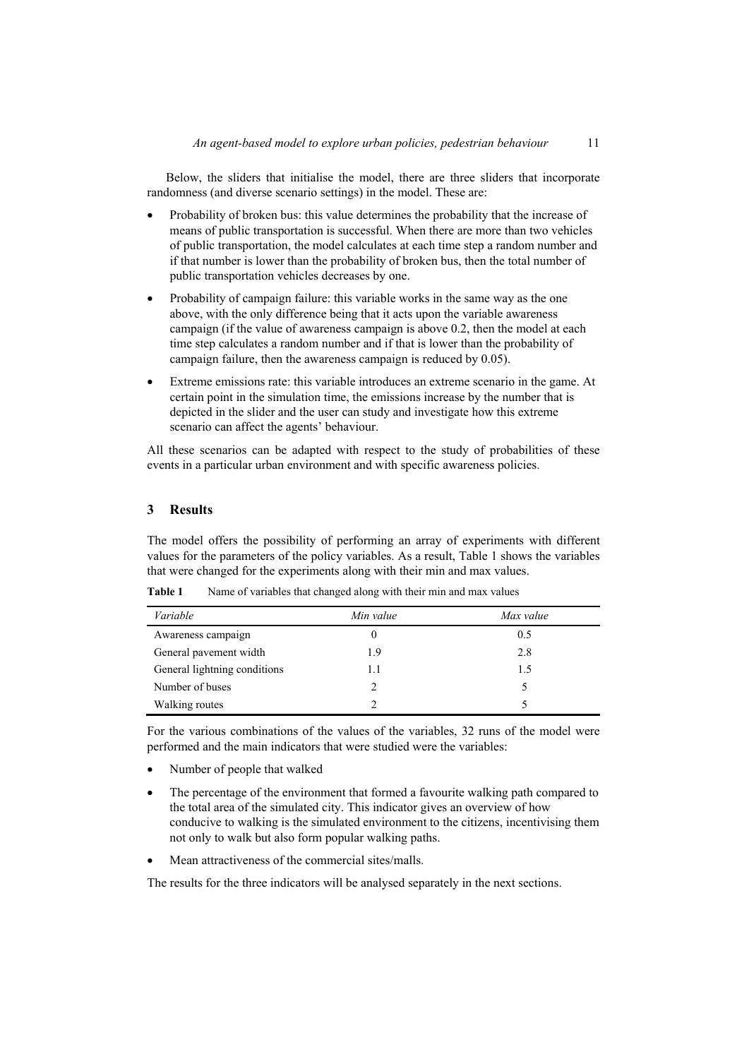Below, the sliders that initialise the model, there are three sliders that incorporate randomness (and diverse scenario settings) in the model. These are:

- Probability of broken bus: this value determines the probability that the increase of means of public transportation is successful. When there are more than two vehicles of public transportation, the model calculates at each time step a random number and if that number is lower than the probability of broken bus, then the total number of public transportation vehicles decreases by one.
- Probability of campaign failure: this variable works in the same way as the one above, with the only difference being that it acts upon the variable awareness campaign (if the value of awareness campaign is above 0.2, then the model at each time step calculates a random number and if that is lower than the probability of campaign failure, then the awareness campaign is reduced by 0.05).
- x Extreme emissions rate: this variable introduces an extreme scenario in the game. At certain point in the simulation time, the emissions increase by the number that is depicted in the slider and the user can study and investigate how this extreme scenario can affect the agents' behaviour.

All these scenarios can be adapted with respect to the study of probabilities of these events in a particular urban environment and with specific awareness policies.

# **3 Results**

The model offers the possibility of performing an array of experiments with different values for the parameters of the policy variables. As a result, Table 1 shows the variables that were changed for the experiments along with their min and max values.

| Variable                     | Min value | Max value |
|------------------------------|-----------|-----------|
| Awareness campaign           |           | 0.5       |
| General pavement width       | 1.9       | 2.8       |
| General lightning conditions | 1.1       | 1.5       |
| Number of buses              |           |           |
| Walking routes               |           |           |

**Table 1** Name of variables that changed along with their min and max values

For the various combinations of the values of the variables, 32 runs of the model were performed and the main indicators that were studied were the variables:

- Number of people that walked
- The percentage of the environment that formed a favourite walking path compared to the total area of the simulated city. This indicator gives an overview of how conducive to walking is the simulated environment to the citizens, incentivising them not only to walk but also form popular walking paths.
- Mean attractiveness of the commercial sites/malls.

The results for the three indicators will be analysed separately in the next sections.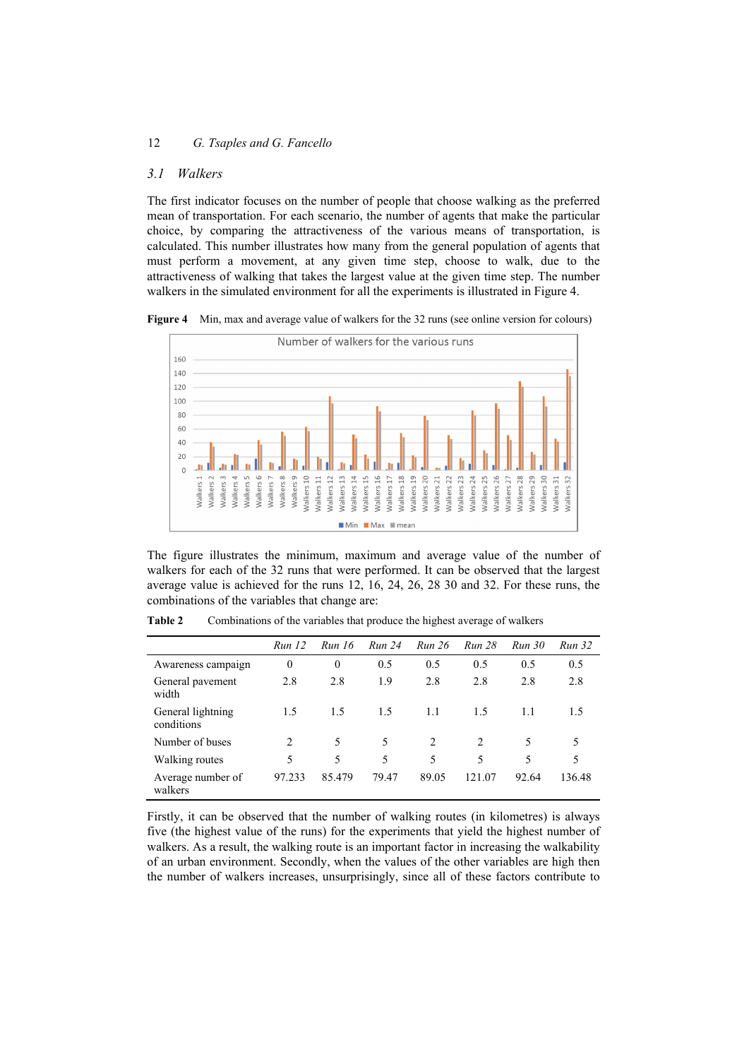#### *3.1 Walkers*

The first indicator focuses on the number of people that choose walking as the preferred mean of transportation. For each scenario, the number of agents that make the particular choice, by comparing the attractiveness of the various means of transportation, is calculated. This number illustrates how many from the general population of agents that must perform a movement, at any given time step, choose to walk, due to the attractiveness of walking that takes the largest value at the given time step. The number walkers in the simulated environment for all the experiments is illustrated in Figure 4.

**Figure 4** Min, max and average value of walkers for the 32 runs (see online version for colours)



The figure illustrates the minimum, maximum and average value of the number of walkers for each of the 32 runs that were performed. It can be observed that the largest average value is achieved for the runs 12, 16, 24, 26, 28 30 and 32. For these runs, the combinations of the variables that change are:

|                                 | Run 12         | Run 16   | Run 24 | Run 26 | $Run$ 28 | $Run$ 30 | $Run$ 32 |
|---------------------------------|----------------|----------|--------|--------|----------|----------|----------|
| Awareness campaign              | $\theta$       | $\theta$ | 0.5    | 0.5    | 0.5      | 0.5      | 0.5      |
| General pavement<br>width       | 2.8            | 2.8      | 1.9    | 2.8    | 2.8      | 2.8      | 2.8      |
| General lightning<br>conditions | 1.5            | 1.5      | 1.5    | 1.1    | 1.5      | 1.1      | 1.5      |
| Number of buses                 | $\overline{2}$ | 5        | 5      | 2      | 2        | 5        | 5        |
| Walking routes                  | 5              | 5        | 5      | 5      | 5        | 5        | 5        |
| Average number of<br>walkers    | 97.233         | 85.479   | 79.47  | 89.05  | 121.07   | 92.64    | 136.48   |

**Table 2** Combinations of the variables that produce the highest average of walkers

Firstly, it can be observed that the number of walking routes (in kilometres) is always five (the highest value of the runs) for the experiments that yield the highest number of walkers. As a result, the walking route is an important factor in increasing the walkability of an urban environment. Secondly, when the values of the other variables are high then the number of walkers increases, unsurprisingly, since all of these factors contribute to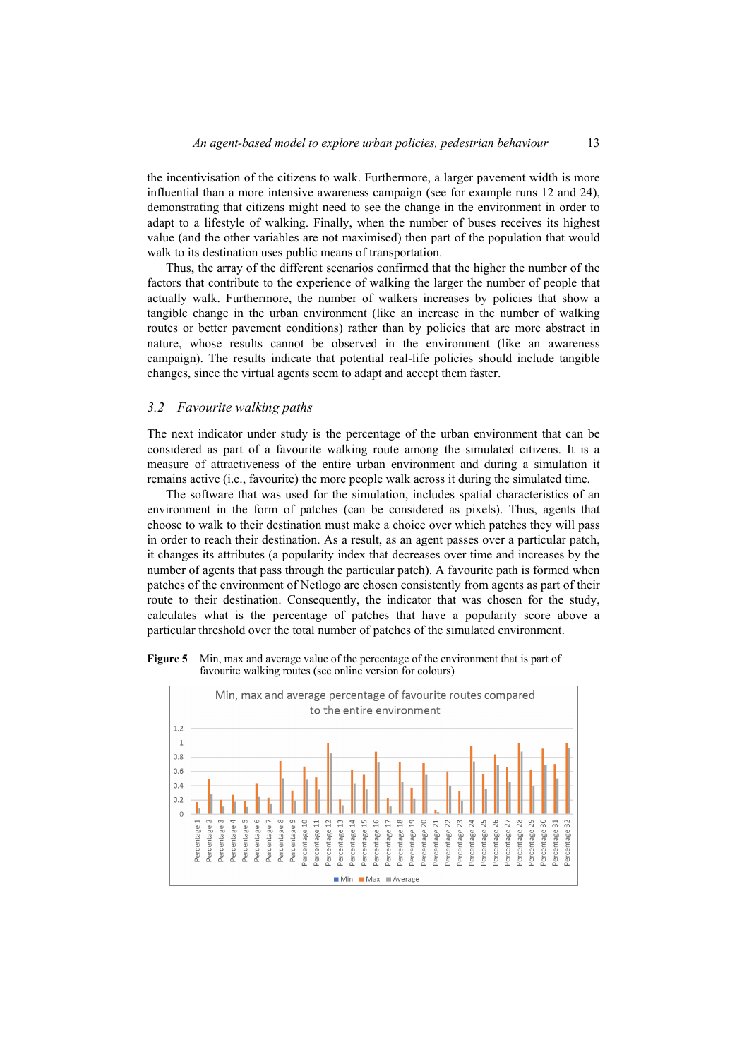the incentivisation of the citizens to walk. Furthermore, a larger pavement width is more influential than a more intensive awareness campaign (see for example runs 12 and 24), demonstrating that citizens might need to see the change in the environment in order to adapt to a lifestyle of walking. Finally, when the number of buses receives its highest value (and the other variables are not maximised) then part of the population that would walk to its destination uses public means of transportation.

Thus, the array of the different scenarios confirmed that the higher the number of the factors that contribute to the experience of walking the larger the number of people that actually walk. Furthermore, the number of walkers increases by policies that show a tangible change in the urban environment (like an increase in the number of walking routes or better pavement conditions) rather than by policies that are more abstract in nature, whose results cannot be observed in the environment (like an awareness campaign). The results indicate that potential real-life policies should include tangible changes, since the virtual agents seem to adapt and accept them faster.

### *3.2 Favourite walking paths*

The next indicator under study is the percentage of the urban environment that can be considered as part of a favourite walking route among the simulated citizens. It is a measure of attractiveness of the entire urban environment and during a simulation it remains active (i.e., favourite) the more people walk across it during the simulated time.

The software that was used for the simulation, includes spatial characteristics of an environment in the form of patches (can be considered as pixels). Thus, agents that choose to walk to their destination must make a choice over which patches they will pass in order to reach their destination. As a result, as an agent passes over a particular patch, it changes its attributes (a popularity index that decreases over time and increases by the number of agents that pass through the particular patch). A favourite path is formed when patches of the environment of Netlogo are chosen consistently from agents as part of their route to their destination. Consequently, the indicator that was chosen for the study, calculates what is the percentage of patches that have a popularity score above a particular threshold over the total number of patches of the simulated environment.



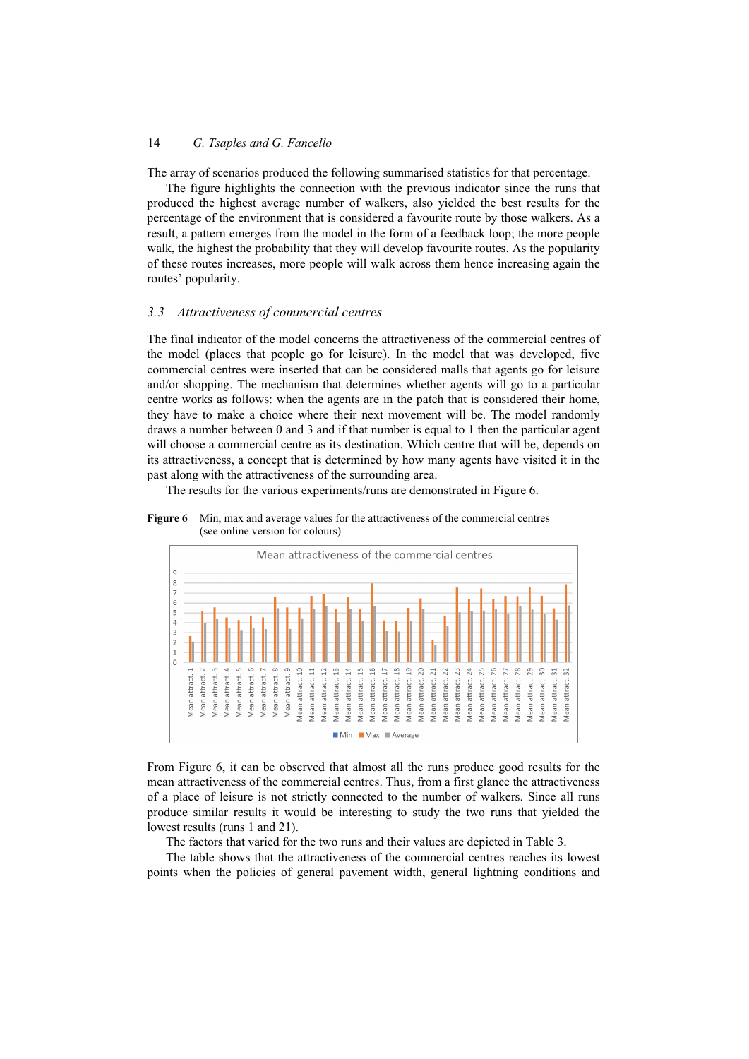The array of scenarios produced the following summarised statistics for that percentage.

The figure highlights the connection with the previous indicator since the runs that produced the highest average number of walkers, also yielded the best results for the percentage of the environment that is considered a favourite route by those walkers. As a result, a pattern emerges from the model in the form of a feedback loop; the more people walk, the highest the probability that they will develop favourite routes. As the popularity of these routes increases, more people will walk across them hence increasing again the routes' popularity.

#### *3.3 Attractiveness of commercial centres*

The final indicator of the model concerns the attractiveness of the commercial centres of the model (places that people go for leisure). In the model that was developed, five commercial centres were inserted that can be considered malls that agents go for leisure and/or shopping. The mechanism that determines whether agents will go to a particular centre works as follows: when the agents are in the patch that is considered their home, they have to make a choice where their next movement will be. The model randomly draws a number between 0 and 3 and if that number is equal to 1 then the particular agent will choose a commercial centre as its destination. Which centre that will be, depends on its attractiveness, a concept that is determined by how many agents have visited it in the past along with the attractiveness of the surrounding area.

The results for the various experiments/runs are demonstrated in Figure 6.

#### **Figure 6** Min, max and average values for the attractiveness of the commercial centres (see online version for colours)



From Figure 6, it can be observed that almost all the runs produce good results for the mean attractiveness of the commercial centres. Thus, from a first glance the attractiveness of a place of leisure is not strictly connected to the number of walkers. Since all runs produce similar results it would be interesting to study the two runs that yielded the lowest results (runs 1 and 21).

The factors that varied for the two runs and their values are depicted in Table 3.

The table shows that the attractiveness of the commercial centres reaches its lowest points when the policies of general pavement width, general lightning conditions and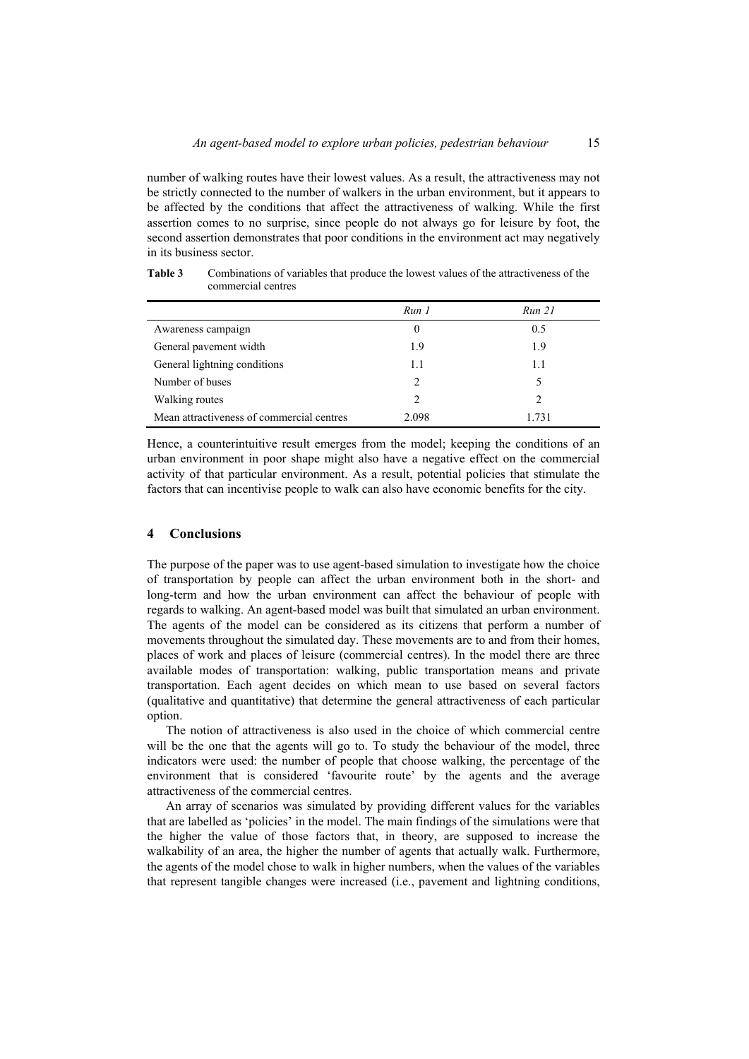number of walking routes have their lowest values. As a result, the attractiveness may not be strictly connected to the number of walkers in the urban environment, but it appears to be affected by the conditions that affect the attractiveness of walking. While the first assertion comes to no surprise, since people do not always go for leisure by foot, the second assertion demonstrates that poor conditions in the environment act may negatively in its business sector.

|                                           | Run 1 | Run 21 |
|-------------------------------------------|-------|--------|
| Awareness campaign                        | 0     | 0.5    |
| General pavement width                    | 1.9   | 1.9    |
| General lightning conditions              | 1.1   | 1.1    |
| Number of buses                           |       |        |
| Walking routes                            | 2     |        |
| Mean attractiveness of commercial centres | 2.098 | 1.731  |

**Table 3** Combinations of variables that produce the lowest values of the attractiveness of the commercial centres

Hence, a counterintuitive result emerges from the model; keeping the conditions of an urban environment in poor shape might also have a negative effect on the commercial activity of that particular environment. As a result, potential policies that stimulate the factors that can incentivise people to walk can also have economic benefits for the city.

#### **4 Conclusions**

The purpose of the paper was to use agent-based simulation to investigate how the choice of transportation by people can affect the urban environment both in the short- and long-term and how the urban environment can affect the behaviour of people with regards to walking. An agent-based model was built that simulated an urban environment. The agents of the model can be considered as its citizens that perform a number of movements throughout the simulated day. These movements are to and from their homes, places of work and places of leisure (commercial centres). In the model there are three available modes of transportation: walking, public transportation means and private transportation. Each agent decides on which mean to use based on several factors (qualitative and quantitative) that determine the general attractiveness of each particular option.

The notion of attractiveness is also used in the choice of which commercial centre will be the one that the agents will go to. To study the behaviour of the model, three indicators were used: the number of people that choose walking, the percentage of the environment that is considered 'favourite route' by the agents and the average attractiveness of the commercial centres.

An array of scenarios was simulated by providing different values for the variables that are labelled as 'policies' in the model. The main findings of the simulations were that the higher the value of those factors that, in theory, are supposed to increase the walkability of an area, the higher the number of agents that actually walk. Furthermore, the agents of the model chose to walk in higher numbers, when the values of the variables that represent tangible changes were increased (i.e., pavement and lightning conditions,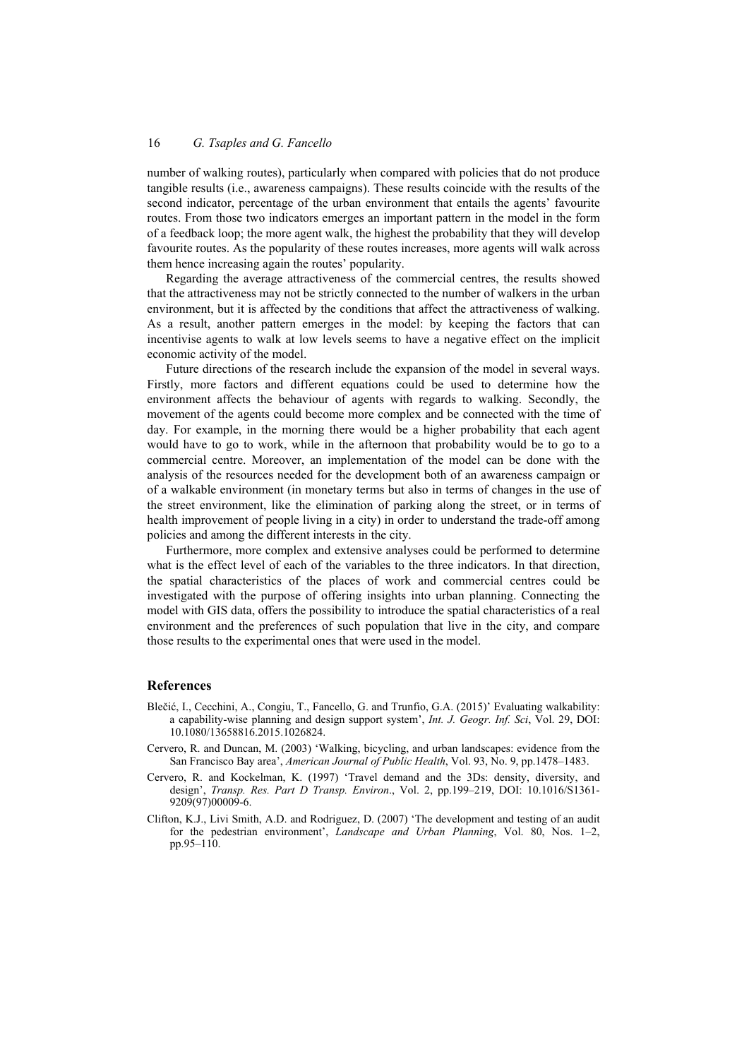number of walking routes), particularly when compared with policies that do not produce tangible results (i.e., awareness campaigns). These results coincide with the results of the second indicator, percentage of the urban environment that entails the agents' favourite routes. From those two indicators emerges an important pattern in the model in the form of a feedback loop; the more agent walk, the highest the probability that they will develop favourite routes. As the popularity of these routes increases, more agents will walk across them hence increasing again the routes' popularity.

Regarding the average attractiveness of the commercial centres, the results showed that the attractiveness may not be strictly connected to the number of walkers in the urban environment, but it is affected by the conditions that affect the attractiveness of walking. As a result, another pattern emerges in the model: by keeping the factors that can incentivise agents to walk at low levels seems to have a negative effect on the implicit economic activity of the model.

Future directions of the research include the expansion of the model in several ways. Firstly, more factors and different equations could be used to determine how the environment affects the behaviour of agents with regards to walking. Secondly, the movement of the agents could become more complex and be connected with the time of day. For example, in the morning there would be a higher probability that each agent would have to go to work, while in the afternoon that probability would be to go to a commercial centre. Moreover, an implementation of the model can be done with the analysis of the resources needed for the development both of an awareness campaign or of a walkable environment (in monetary terms but also in terms of changes in the use of the street environment, like the elimination of parking along the street, or in terms of health improvement of people living in a city) in order to understand the trade-off among policies and among the different interests in the city.

Furthermore, more complex and extensive analyses could be performed to determine what is the effect level of each of the variables to the three indicators. In that direction, the spatial characteristics of the places of work and commercial centres could be investigated with the purpose of offering insights into urban planning. Connecting the model with GIS data, offers the possibility to introduce the spatial characteristics of a real environment and the preferences of such population that live in the city, and compare those results to the experimental ones that were used in the model.

# **References**

- Blečić, I., Cecchini, A., Congiu, T., Fancello, G. and Trunfio, G.A. (2015)' Evaluating walkability: a capability-wise planning and design support system', *Int. J. Geogr. Inf. Sci*, Vol. 29, DOI: 10.1080/13658816.2015.1026824.
- Cervero, R. and Duncan, M. (2003) 'Walking, bicycling, and urban landscapes: evidence from the San Francisco Bay area', *American Journal of Public Health*, Vol. 93, No. 9, pp.1478–1483.
- Cervero, R. and Kockelman, K. (1997) 'Travel demand and the 3Ds: density, diversity, and design', *Transp. Res. Part D Transp. Environ*., Vol. 2, pp.199–219, DOI: 10.1016/S1361- 9209(97)00009-6.
- Clifton, K.J., Livi Smith, A.D. and Rodriguez, D. (2007) 'The development and testing of an audit for the pedestrian environment', *Landscape and Urban Planning*, Vol. 80, Nos. 1–2, pp.95–110.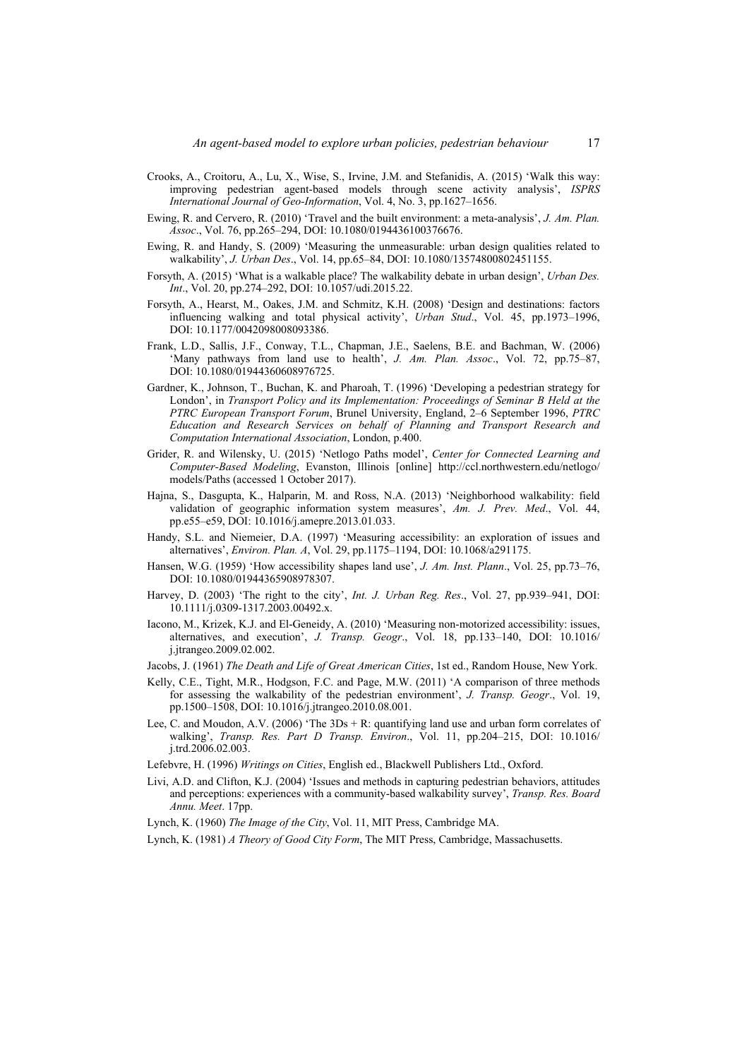- Crooks, A., Croitoru, A., Lu, X., Wise, S., Irvine, J.M. and Stefanidis, A. (2015) 'Walk this way: improving pedestrian agent-based models through scene activity analysis', *ISPRS International Journal of Geo-Information*, Vol. 4, No. 3, pp.1627–1656.
- Ewing, R. and Cervero, R. (2010) 'Travel and the built environment: a meta-analysis', *J. Am. Plan. Assoc*., Vol. 76, pp.265–294, DOI: 10.1080/0194436100376676.
- Ewing, R. and Handy, S. (2009) 'Measuring the unmeasurable: urban design qualities related to walkability', *J. Urban Des*., Vol. 14, pp.65–84, DOI: 10.1080/13574800802451155.
- Forsyth, A. (2015) 'What is a walkable place? The walkability debate in urban design', *Urban Des. Int*., Vol. 20, pp.274–292, DOI: 10.1057/udi.2015.22.
- Forsyth, A., Hearst, M., Oakes, J.M. and Schmitz, K.H. (2008) 'Design and destinations: factors influencing walking and total physical activity', *Urban Stud*., Vol. 45, pp.1973–1996, DOI: 10.1177/0042098008093386.
- Frank, L.D., Sallis, J.F., Conway, T.L., Chapman, J.E., Saelens, B.E. and Bachman, W. (2006) 'Many pathways from land use to health', *J. Am. Plan. Assoc*., Vol. 72, pp.75–87, DOI: 10.1080/01944360608976725.
- Gardner, K., Johnson, T., Buchan, K. and Pharoah, T. (1996) 'Developing a pedestrian strategy for London', in *Transport Policy and its Implementation: Proceedings of Seminar B Held at the PTRC European Transport Forum*, Brunel University, England, 2–6 September 1996, *PTRC Education and Research Services on behalf of Planning and Transport Research and Computation International Association*, London, p.400.
- Grider, R. and Wilensky, U. (2015) 'Netlogo Paths model', *Center for Connected Learning and Computer-Based Modeling*, Evanston, Illinois [online] http://ccl.northwestern.edu/netlogo/ models/Paths (accessed 1 October 2017).
- Hajna, S., Dasgupta, K., Halparin, M. and Ross, N.A. (2013) 'Neighborhood walkability: field validation of geographic information system measures', *Am. J. Prev. Med*., Vol. 44, pp.e55–e59, DOI: 10.1016/j.amepre.2013.01.033.
- Handy, S.L. and Niemeier, D.A. (1997) 'Measuring accessibility: an exploration of issues and alternatives', *Environ. Plan. A*, Vol. 29, pp.1175–1194, DOI: 10.1068/a291175.
- Hansen, W.G. (1959) 'How accessibility shapes land use', *J. Am. Inst. Plann*., Vol. 25, pp.73–76, DOI: 10.1080/01944365908978307.
- Harvey, D. (2003) 'The right to the city', *Int. J. Urban Reg. Res*., Vol. 27, pp.939–941, DOI: 10.1111/j.0309-1317.2003.00492.x.
- Iacono, M., Krizek, K.J. and El-Geneidy, A. (2010) 'Measuring non-motorized accessibility: issues, alternatives, and execution', *J. Transp. Geogr*., Vol. 18, pp.133–140, DOI: 10.1016/ j.jtrangeo.2009.02.002.
- Jacobs, J. (1961) *The Death and Life of Great American Cities*, 1st ed., Random House, New York.
- Kelly, C.E., Tight, M.R., Hodgson, F.C. and Page, M.W. (2011) 'A comparison of three methods for assessing the walkability of the pedestrian environment', *J. Transp. Geogr*., Vol. 19, pp.1500–1508, DOI: 10.1016/j.jtrangeo.2010.08.001.
- Lee, C. and Moudon, A.V. (2006) 'The  $3Ds + R$ : quantifying land use and urban form correlates of walking', *Transp. Res. Part D Transp. Environ*., Vol. 11, pp.204–215, DOI: 10.1016/ j.trd.2006.02.003.
- Lefebvre, H. (1996) *Writings on Cities*, English ed., Blackwell Publishers Ltd., Oxford.
- Livi, A.D. and Clifton, K.J. (2004) 'Issues and methods in capturing pedestrian behaviors, attitudes and perceptions: experiences with a community-based walkability survey', *Transp. Res. Board Annu. Meet*. 17pp.
- Lynch, K. (1960) *The Image of the City*, Vol. 11, MIT Press, Cambridge MA.
- Lynch, K. (1981) *A Theory of Good City Form*, The MIT Press, Cambridge, Massachusetts.